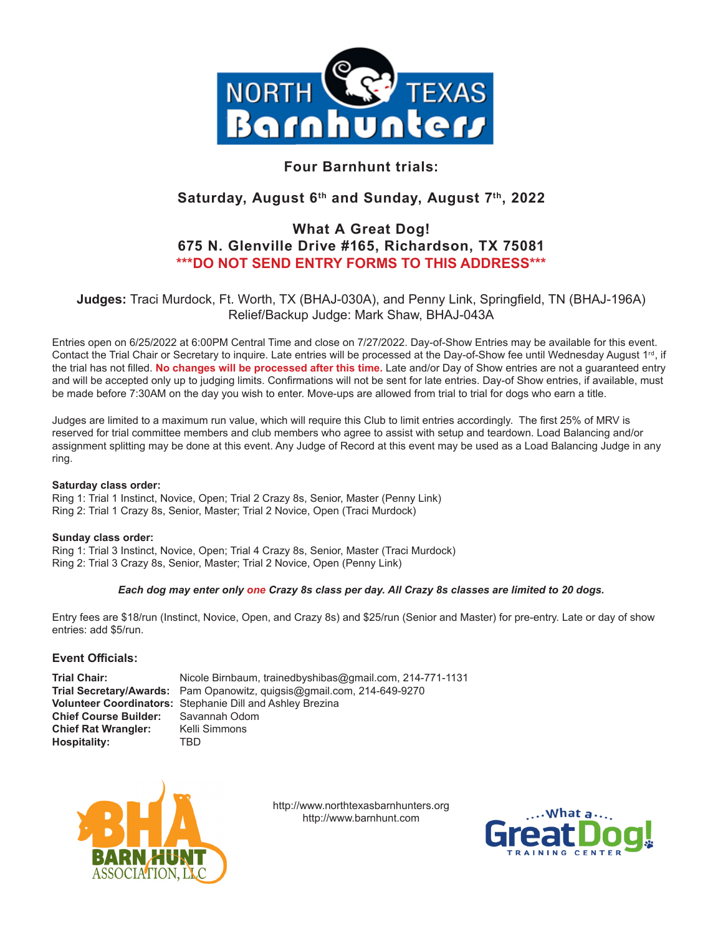

## **Four Barnhunt trials:**

## **Saturday, August 6th and Sunday, August 7th, 2022**

## **What A Great Dog! 675 N. Glenville Drive #165, Richardson, TX 75081 \*\*\*DO NOT SEND ENTRY FORMS TO THIS ADDRESS\*\*\***

**Judges:** Traci Murdock, Ft. Worth, TX (BHAJ-030A), and Penny Link, Springfield, TN (BHAJ-196A) Relief/Backup Judge: Mark Shaw, BHAJ-043A

Entries open on 6/25/2022 at 6:00PM Central Time and close on 7/27/2022. Day-of-Show Entries may be available for this event. Contact the Trial Chair or Secretary to inquire. Late entries will be processed at the Day-of-Show fee until Wednesday August 1<sup>rd</sup>, if the trial has not filled. **No changes will be processed after this time.** Late and/or Day of Show entries are not a guaranteed entry and will be accepted only up to judging limits. Confirmations will not be sent for late entries. Day-of Show entries, if available, must be made before 7:30AM on the day you wish to enter. Move-ups are allowed from trial to trial for dogs who earn a title.

Judges are limited to a maximum run value, which will require this Club to limit entries accordingly. The first 25% of MRV is reserved for trial committee members and club members who agree to assist with setup and teardown. Load Balancing and/or assignment splitting may be done at this event. Any Judge of Record at this event may be used as a Load Balancing Judge in any ring.

#### **Saturday class order:**

Ring 1: Trial 1 Instinct, Novice, Open; Trial 2 Crazy 8s, Senior, Master (Penny Link) Ring 2: Trial 1 Crazy 8s, Senior, Master; Trial 2 Novice, Open (Traci Murdock)

#### **Sunday class order:**

Ring 1: Trial 3 Instinct, Novice, Open; Trial 4 Crazy 8s, Senior, Master (Traci Murdock) Ring 2: Trial 3 Crazy 8s, Senior, Master; Trial 2 Novice, Open (Penny Link)

#### *Each dog may enter only one Crazy 8s class per day. All Crazy 8s classes are limited to 20 dogs.*

Entry fees are \$18/run (Instinct, Novice, Open, and Crazy 8s) and \$25/run (Senior and Master) for pre-entry. Late or day of show entries: add \$5/run.

#### **Event Officials:**

**Trial Chair:** Nicole Birnbaum, trainedbyshibas@gmail.com, 214-771-1131 **Trial Secretary/Awards:** Pam Opanowitz, quigsis@gmail.com, 214-649-9270 **Volunteer Coordinators:** Stephanie Dill and Ashley Brezina **Chief Course Builder:** Savannah Odd<br> **Chief Rat Wrangler:** Kelli Simmons **Chief Rat Wrangler: Hospitality:** TBD



http://www.northtexasbarnhunters.org http://www.barnhunt.com

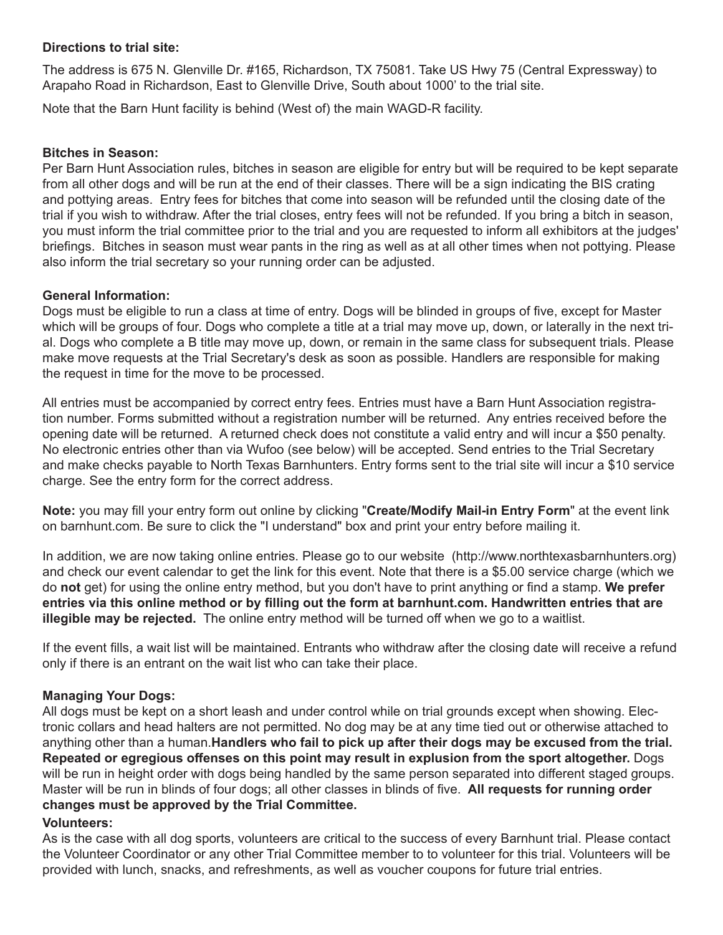## **Directions to trial site:**

The address is 675 N. Glenville Dr. #165, Richardson, TX 75081. Take US Hwy 75 (Central Expressway) to Arapaho Road in Richardson, East to Glenville Drive, South about 1000' to the trial site.

Note that the Barn Hunt facility is behind (West of) the main WAGD-R facility.

#### **Bitches in Season:**

Per Barn Hunt Association rules, bitches in season are eligible for entry but will be required to be kept separate from all other dogs and will be run at the end of their classes. There will be a sign indicating the BIS crating and pottying areas. Entry fees for bitches that come into season will be refunded until the closing date of the trial if you wish to withdraw. After the trial closes, entry fees will not be refunded. If you bring a bitch in season, you must inform the trial committee prior to the trial and you are requested to inform all exhibitors at the judges' briefings. Bitches in season must wear pants in the ring as well as at all other times when not pottying. Please also inform the trial secretary so your running order can be adjusted.

#### **General Information:**

Dogs must be eligible to run a class at time of entry. Dogs will be blinded in groups of five, except for Master which will be groups of four. Dogs who complete a title at a trial may move up, down, or laterally in the next trial. Dogs who complete a B title may move up, down, or remain in the same class for subsequent trials. Please make move requests at the Trial Secretary's desk as soon as possible. Handlers are responsible for making the request in time for the move to be processed.

All entries must be accompanied by correct entry fees. Entries must have a Barn Hunt Association registration number. Forms submitted without a registration number will be returned. Any entries received before the opening date will be returned. A returned check does not constitute a valid entry and will incur a \$50 penalty. No electronic entries other than via Wufoo (see below) will be accepted. Send entries to the Trial Secretary and make checks payable to North Texas Barnhunters. Entry forms sent to the trial site will incur a \$10 service charge. See the entry form for the correct address.

**Note:** you may fill your entry form out online by clicking "**Create/Modify Mail-in Entry Form**" at the event link on barnhunt.com. Be sure to click the "I understand" box and print your entry before mailing it.

In addition, we are now taking online entries. Please go to our website (http://www.northtexasbarnhunters.org) and check our event calendar to get the link for this event. Note that there is a \$5.00 service charge (which we do **not** get) for using the online entry method, but you don't have to print anything or find a stamp. **We prefer entries via this online method or by filling out the form at barnhunt.com. Handwritten entries that are illegible may be rejected.** The online entry method will be turned off when we go to a waitlist.

If the event fills, a wait list will be maintained. Entrants who withdraw after the closing date will receive a refund only if there is an entrant on the wait list who can take their place.

## **Managing Your Dogs:**

All dogs must be kept on a short leash and under control while on trial grounds except when showing. Electronic collars and head halters are not permitted. No dog may be at any time tied out or otherwise attached to anything other than a human.**Handlers who fail to pick up after their dogs may be excused from the trial. Repeated or egregious offenses on this point may result in explusion from the sport altogether.** Dogs will be run in height order with dogs being handled by the same person separated into different staged groups. Master will be run in blinds of four dogs; all other classes in blinds of five. **All requests for running order changes must be approved by the Trial Committee.**

#### **Volunteers:**

As is the case with all dog sports, volunteers are critical to the success of every Barnhunt trial. Please contact the Volunteer Coordinator or any other Trial Committee member to to volunteer for this trial. Volunteers will be provided with lunch, snacks, and refreshments, as well as voucher coupons for future trial entries.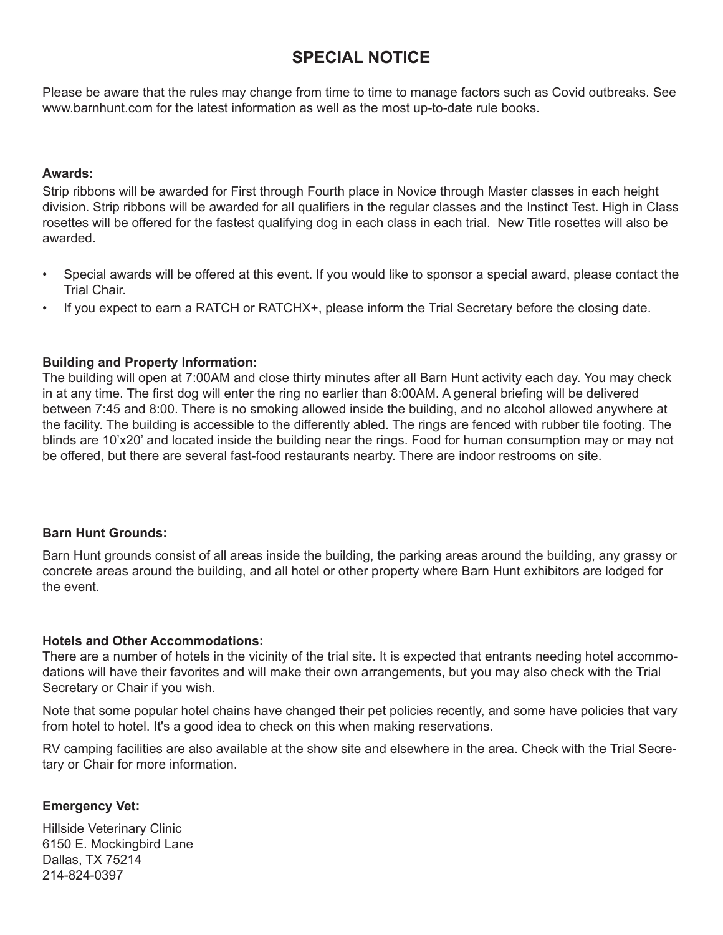## **SPECIAL NOTICE**

Please be aware that the rules may change from time to time to manage factors such as Covid outbreaks. See www.barnhunt.com for the latest information as well as the most up-to-date rule books.

## **Awards:**

Strip ribbons will be awarded for First through Fourth place in Novice through Master classes in each height division. Strip ribbons will be awarded for all qualifiers in the regular classes and the Instinct Test. High in Class rosettes will be offered for the fastest qualifying dog in each class in each trial. New Title rosettes will also be awarded.

- Special awards will be offered at this event. If you would like to sponsor a special award, please contact the Trial Chair.
- If you expect to earn a RATCH or RATCHX+, please inform the Trial Secretary before the closing date.

## **Building and Property Information:**

The building will open at 7:00AM and close thirty minutes after all Barn Hunt activity each day. You may check in at any time. The first dog will enter the ring no earlier than 8:00AM. A general briefing will be delivered between 7:45 and 8:00. There is no smoking allowed inside the building, and no alcohol allowed anywhere at the facility. The building is accessible to the differently abled. The rings are fenced with rubber tile footing. The blinds are 10'x20' and located inside the building near the rings. Food for human consumption may or may not be offered, but there are several fast-food restaurants nearby. There are indoor restrooms on site.

## **Barn Hunt Grounds:**

Barn Hunt grounds consist of all areas inside the building, the parking areas around the building, any grassy or concrete areas around the building, and all hotel or other property where Barn Hunt exhibitors are lodged for the event.

## **Hotels and Other Accommodations:**

There are a number of hotels in the vicinity of the trial site. It is expected that entrants needing hotel accommodations will have their favorites and will make their own arrangements, but you may also check with the Trial Secretary or Chair if you wish.

Note that some popular hotel chains have changed their pet policies recently, and some have policies that vary from hotel to hotel. It's a good idea to check on this when making reservations.

RV camping facilities are also available at the show site and elsewhere in the area. Check with the Trial Secretary or Chair for more information.

## **Emergency Vet:**

Hillside Veterinary Clinic 6150 E. Mockingbird Lane Dallas, TX 75214 214-824-0397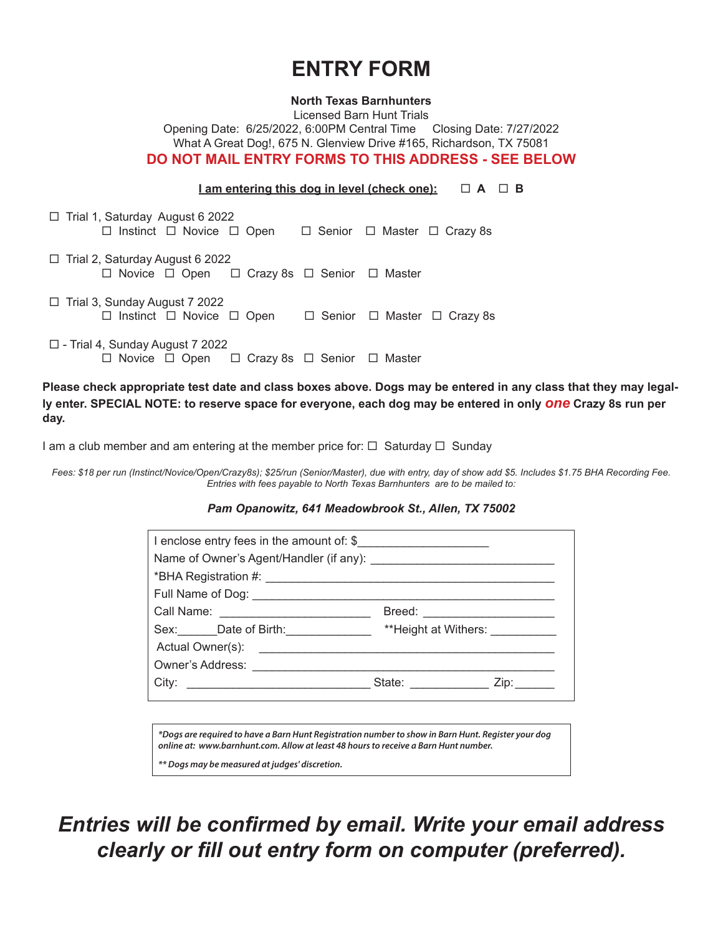# **ENTRY FORM**

#### **North Texas Barnhunters**

Licensed Barn Hunt Trials Opening Date: 6/25/2022, 6:00PM Central Time Closing Date: 7/27/2022 What A Great Dog!, 675 N. Glenview Drive #165, Richardson, TX 75081 **DO NOT MAIL ENTRY FORMS TO THIS ADDRESS - SEE BELOW**

#### **I** am entering this dog in level (check one):  $\Box$   $A$   $\Box$   $B$

| $\Box$ Trial 1, Saturday August 6 2022<br>$\Box$ Instinct $\Box$ Novice $\Box$ Open    |  | $\Box$ Senior $\Box$ Master $\Box$ Crazy 8s |
|----------------------------------------------------------------------------------------|--|---------------------------------------------|
| $\Box$ Trial 2, Saturday August 6 2022<br>□ Novice □ Open □ Crazy 8s □ Senior □ Master |  |                                             |
| $\Box$ Trial 3, Sunday August 7 2022<br>$\Box$ Instinct $\Box$ Novice $\Box$ Open      |  | $\Box$ Senior $\Box$ Master $\Box$ Crazy 8s |
|                                                                                        |  |                                             |

 $\Box$  - Trial 4, Sunday August 7 2022  $\Box$  Novice  $\Box$  Open  $\Box$  Crazy 8s  $\Box$  Senior  $\Box$  Master

**Please check appropriate test date and class boxes above. Dogs may be entered in any class that they may legally enter. SPECIAL NOTE: to reserve space for everyone, each dog may be entered in only** *one* **Crazy 8s run per day.**

I am a club member and am entering at the member price for:  $\Box$  Saturday  $\Box$  Sunday

*Fees: \$18 per run (Instinct/Novice/Open/Crazy8s); \$25/run (Senior/Master), due with entry, day of show add \$5. Includes \$1.75 BHA Recording Fee. Entries with fees payable to North Texas Barnhunters are to be mailed to:* 

#### *Pam Opanowitz, 641 Meadowbrook St., Allen, TX 75002*

|  | Breed: ________________________ |  |  |  |  |  |
|--|---------------------------------|--|--|--|--|--|
|  |                                 |  |  |  |  |  |
|  |                                 |  |  |  |  |  |
|  |                                 |  |  |  |  |  |
|  |                                 |  |  |  |  |  |
|  |                                 |  |  |  |  |  |

*\*Dogs are required to have a Barn Hunt Registration number to show in Barn Hunt. Register your dog online at: www.barnhunt.com. Allow at least 48 hours to receive a Barn Hunt number.* 

*\*\* Dogs may be measured at judges' discretion.*

*Entries will be confirmed by email. Write your email address clearly or fill out entry form on computer (preferred).*